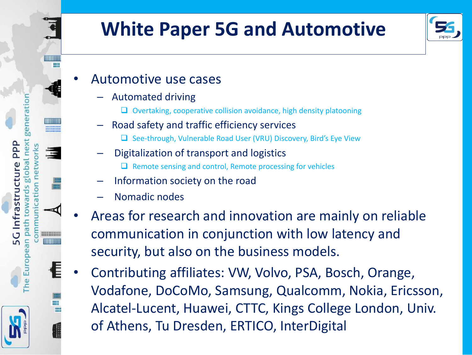

## **White Paper 5G and Automotive**



- Automotive use cases
	- Automated driving
		- Overtaking, cooperative collision avoidance, high density platooning
	- Road safety and traffic efficiency services
		- □ See-through, Vulnerable Road User (VRU) Discovery, Bird's Eye View
	- Digitalization of transport and logistics
		- $\Box$  Remote sensing and control, Remote processing for vehicles
	- Information society on the road
	- Nomadic nodes
- Areas for research and innovation are mainly on reliable communication in conjunction with low latency and security, but also on the business models.
- Contributing affiliates: VW, Volvo, PSA, Bosch, Orange, Vodafone, DoCoMo, Samsung, Qualcomm, Nokia, Ericsson, Alcatel-Lucent, Huawei, CTTC, Kings College London, Univ. of Athens, Tu Dresden, ERTICO, InterDigital